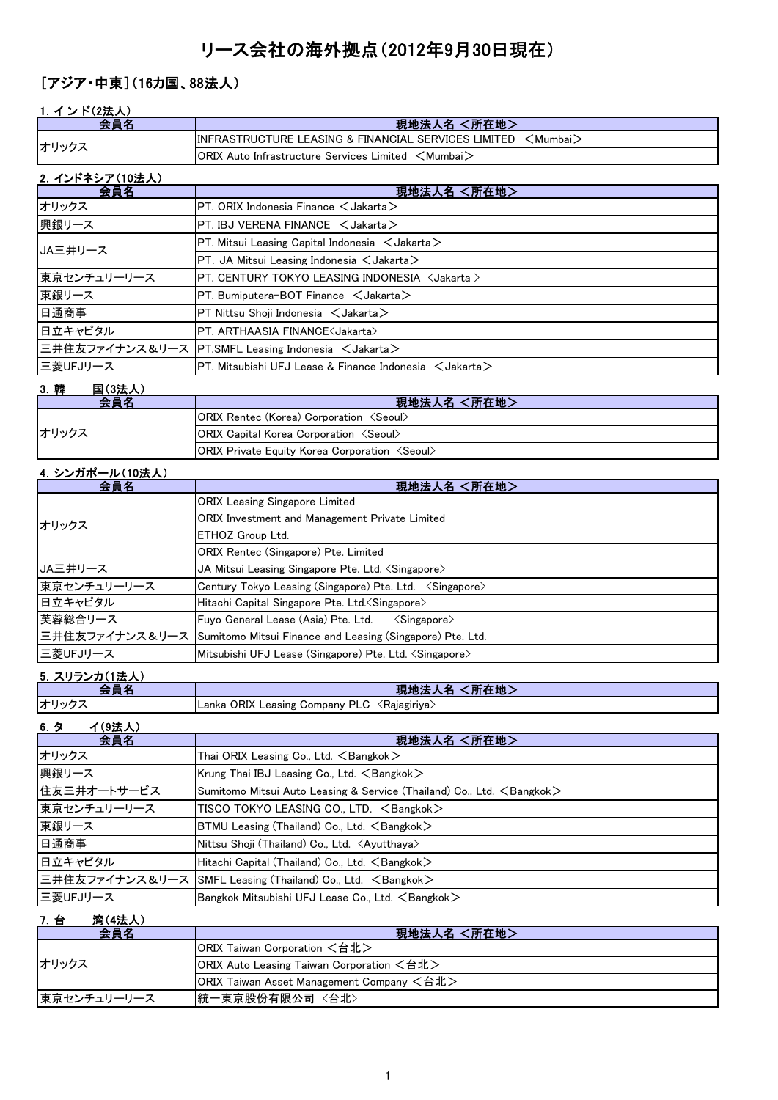# リース会社の海外拠点(2012年9月30日現在)

# [アジア・中東](16カ国、88法人)

## 1.イ ン ド(2法人)

| 会自名            | 現地法人名 <所在地>                                                                                        |
|----------------|----------------------------------------------------------------------------------------------------|
| オリックス          | $\overline{\text{IINFRASTRUCTURE LEASING & FINANCIAL SERVICES LIMITED} < \overline{\text{Mumbai}}$ |
|                | $\mathsf{IORIX}$ Auto Infrastructure Services Limited $\mathord<$ Mumbai $\mathord>$               |
| 2 インドネシア(10法人) |                                                                                                    |

| ム イントインナ (10)広入力<br>会員名 | 現地法人名 <所在地>                                                                                 |
|-------------------------|---------------------------------------------------------------------------------------------|
| オリックス                   | $PT.$ ORIX Indonesia Finance $\lt$ Jakarta $>$                                              |
| 興銀リース                   | $PT$ . IBJ VERENA FINANCE $\lt$ Jakarta $>$                                                 |
| JA三井リース                 | $PT.$ Mitsui Leasing Capital Indonesia $\lt$ Jakarta $\gt$                                  |
|                         | $PT.$ JA Mitsui Leasing Indonesia $\lt$ Jakarta $>$                                         |
| 東京センチュリーリース             | PT. CENTURY TOKYO LEASING INDONESIA <jakarta></jakarta>                                     |
| 東銀リース                   | $PT.$ Bumiputera-BOT Finance $\lt$ Jakarta $>$                                              |
| 日通商事                    | $PT$ Nittsu Shoii Indonesia $\lt$ Jakarta $>$                                               |
| 日立キャピタル                 | PT. ARTHAASIA FINANCE <jakarta></jakarta>                                                   |
|                         | 三井住友ファイナンス&リース PT.SMFL Leasing Indonesia <jakarta></jakarta>                                |
| 三菱UFJリース                | $\overline{\text{PT}}$ . Mitsubishi UFJ Lease & Finance Indonesia $\,$ $\leq$ Jakarta $\,>$ |

### 3.韓 国(3法人)

| 会昌名   | 現地法人名 <所在地>                                                  |
|-------|--------------------------------------------------------------|
| オリックス | <b>ORIX Rentec (Korea) Corporation <seoul></seoul></b>       |
|       | <b>ORIX Capital Korea Corporation <seoul></seoul></b>        |
|       | <b>ORIX Private Equity Korea Corporation <seoul></seoul></b> |

## 4.シンガポール(10法人)

| 会員名         | 現地法人名 <所在地>                                                              |
|-------------|--------------------------------------------------------------------------|
| オリックス       | <b>ORIX</b> Leasing Singapore Limited                                    |
|             | ORIX Investment and Management Private Limited                           |
|             | <b>ETHOZ Group Ltd.</b>                                                  |
|             | ORIX Rentec (Singapore) Pte. Limited                                     |
| JA三井リース     | JA Mitsui Leasing Singapore Pte. Ltd. <singapore></singapore>            |
| 東京センチュリーリース | Century Tokyo Leasing (Singapore) Pte. Ltd. < Singapore>                 |
| 日立キャピタル     | Hitachi Capital Singapore Pte. Ltd. < Singapore>                         |
| 芙蓉総合リース     | Fuyo General Lease (Asia) Pte. Ltd.<br>$\langle$ Singapore $\rangle$     |
|             | 三井住友ファイナンス&リース Sumitomo Mitsui Finance and Leasing (Singapore) Pte. Ltd. |
| 三菱UFJリース    | Mitsubishi UFJ Lease (Singapore) Pte. Ltd. <singapore></singapore>       |

## 5. スリランカ(1法人)

|       | (所在地)<br>現地法人名 |
|-------|----------------|
| オリックス |                |

## 6.タ イ(9法人)

| 会員名         | 現地法人名 <所在地>                                                                     |
|-------------|---------------------------------------------------------------------------------|
| オリックス       | Thai ORIX Leasing Co., Ltd. $\leq$ Bangkok $>$                                  |
| 興銀リース       | Krung Thai IBJ Leasing Co., Ltd. $\leq$ Bangkok $>$                             |
| 住友三井オートサービス | Sumitomo Mitsui Auto Leasing & Service (Thailand) Co., Ltd. <bangkok></bangkok> |
| 東京センチュリーリース | TISCO TOKYO LEASING CO., LTD. <bangkok></bangkok>                               |
| 東銀リース       | BTMU Leasing (Thailand) Co., Ltd. <bangkok></bangkok>                           |
| 日通商事        | Nittsu Shoji (Thailand) Co., Ltd. <ayutthaya></ayutthaya>                       |
| 日立キャピタル     | Hitachi Capital (Thailand) Co., Ltd. <bangkok></bangkok>                        |
|             | 三井住友ファイナンス&リース SMFL Leasing (Thailand) Co., Ltd. <bangkok></bangkok>            |
| 三菱UFJリース    | Bangkok Mitsubishi UFJ Lease Co., Ltd. <bangkok></bangkok>                      |

## 7.台 湾(4法人)

| 会員名         | 現地法人名 <所在地>                               |
|-------------|-------------------------------------------|
| オリックス       | IORIX Taiwan Corporation <台北>             |
|             | ORIX Auto Leasing Taiwan Corporation <台北> |
|             | ORIX Taiwan Asset Management Company <台北> |
| 東京センチュリーリース | ┃統一東京股份有限公司 〈台北〉                          |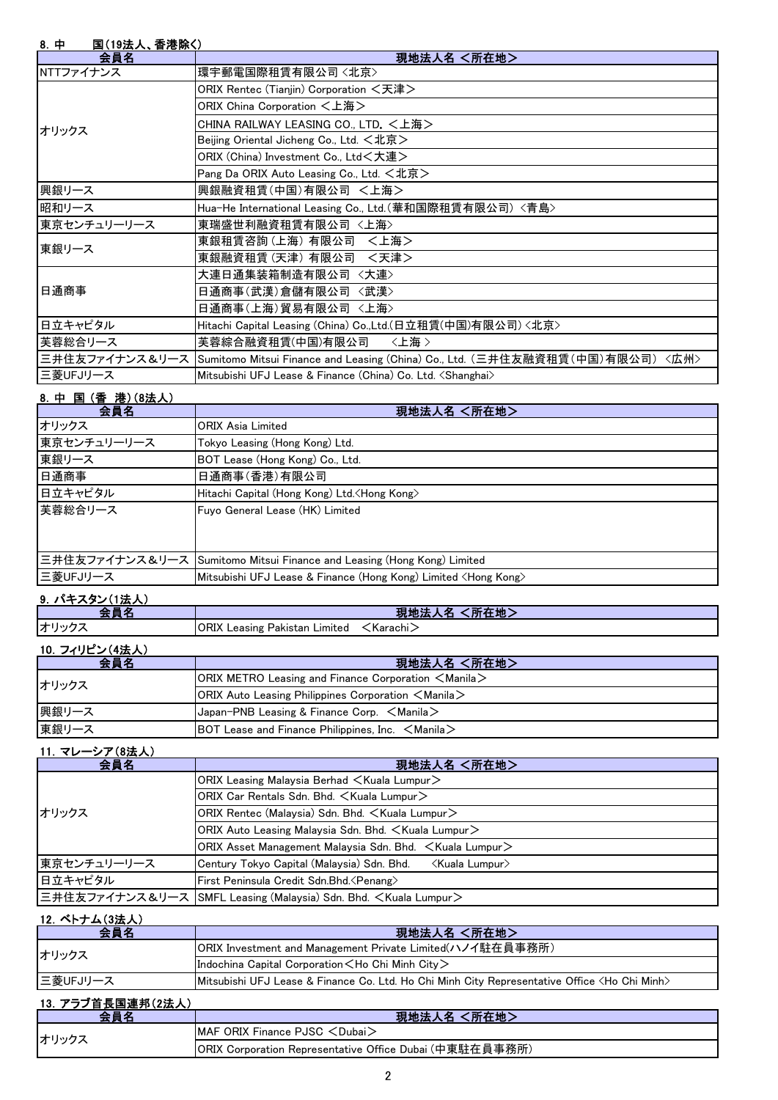| 8. 中<br>国(19法人、香港除く) |                                                                                             |
|----------------------|---------------------------------------------------------------------------------------------|
| 会員名                  | 現地法人名 <所在地>                                                                                 |
| NTTファイナンス            | 環宇郵電国際租賃有限公司〈北京〉                                                                            |
|                      | ORIX Rentec (Tianjin) Corporation <天津>                                                      |
|                      | ORIX China Corporation <上海>                                                                 |
| オリックス                | CHINA RAILWAY LEASING CO., LTD. <上海>                                                        |
|                      | Beijing Oriental Jicheng Co., Ltd. <北京>                                                     |
|                      | ORIX (China) Investment Co., Ltd<大連>                                                        |
|                      | Pang Da ORIX Auto Leasing Co., Ltd. <北京>                                                    |
| 興銀リース                | 興銀融資租賃(中国)有限公司 <上海>                                                                         |
| 昭和リース                | Hua-He International Leasing Co., Ltd. (華和国際租賃有限公司) <青島>                                    |
| 東京センチュリーリース          | 東瑞盛世利融資租賃有限公司〈上海〉                                                                           |
| 東銀リース                | 東銀租賃咨詢(上海) 有限公司 〈上海〉                                                                        |
|                      | 東銀融資租賃 (天津) 有限公司 〈天津>                                                                       |
|                      | 大連日通集装箱制造有限公司 〈大連〉                                                                          |
| 日通商事                 | 日通商事(武漢)倉儲有限公司 〈武漢〉                                                                         |
|                      | 日通商事(上海)貿易有限公司 〈上海〉                                                                         |
| 日立キャピタル              | Hitachi Capital Leasing (China) Co.,Ltd.(日立租賃(中国)有限公司) <北京>                                 |
| 芙蓉総合リース              | 芙蓉綜合融資租賃(中国)有限公司<br>〈上海〉                                                                    |
|                      | 三井住友ファイナンス&リース Sumitomo Mitsui Finance and Leasing (China) Co., Ltd. (三井住友融資租賃(中国)有限公司)〈広州〉 |
| 三菱UFJリース             | Mitsubishi UFJ Lease & Finance (China) Co. Ltd. <shanghai></shanghai>                       |

## 8.中 国 (香 港)(8法人)

| 会員名           | 現地法人名 <所在地>                                                              |
|---------------|--------------------------------------------------------------------------|
| オリックス         | <b>ORIX Asia Limited</b>                                                 |
| 東京センチュリーリース   | Tokyo Leasing (Hong Kong) Ltd.                                           |
| 東銀リース         | BOT Lease (Hong Kong) Co., Ltd.                                          |
| 日通商事          | 日通商事(香港)有限公司                                                             |
| 日立キャピタル       | Hitachi Capital (Hong Kong) Ltd. <hong kong=""></hong>                   |
| 芙蓉総合リース       | Fuyo General Lease (HK) Limited                                          |
|               | 三井住友ファイナンス&リース   Sumitomo Mitsui Finance and Leasing (Hong Kong) Limited |
| 三菱UFJリース      | Mitsubishi UFJ Lease & Finance (Hong Kong) Limited <hong kong=""></hong> |
| 9. パキスタン(1法人) |                                                                          |

|              | - Ark<br><b>PT4-TU</b><br>玩工<br>--<br>.                    |
|--------------|------------------------------------------------------------|
| ⊣才'´<br>-114 | <b>ORIX</b><br>Limited<br>Leasing<br>Karachi -<br>Pakistan |
|              |                                                            |

| 10. フィリピン(4法人) |
|----------------|
|----------------|

| 会員名   | 現地法人名 <所在地>                                                        |
|-------|--------------------------------------------------------------------|
| オリックス | $ ORIX$ METRO Leasing and Finance Corporation $\leq$ Manila $\geq$ |
|       | $ ORIX$ Auto Leasing Philippines Corporation $\leq$ Manila $\geq$  |
| 興銀リース | $\lambda$ Japan-PNB Leasing & Finance Corp. $\leq$ Manila $\geq$   |
| 東銀リース | BOT Lease and Finance Philippines, Inc. $\leq$ Manila $\geq$       |

## 11.マレーシア(8法人)

| 会員名         | 現地法人名 <所在地>                                                                 |
|-------------|-----------------------------------------------------------------------------|
|             | ORIX Leasing Malaysia Berhad $\lt$ Kuala Lumpur $\gt$                       |
|             | ORIX Car Rentals Sdn. Bhd. < Kuala Lumpur>                                  |
| オリックス       | ORIX Rentec (Malaysia) Sdn. Bhd. < Kuala Lumpur>                            |
|             | ORIX Auto Leasing Malaysia Sdn. Bhd. <kuala lumpur=""></kuala>              |
|             | ORIX Asset Management Malaysia Sdn. Bhd. ∠Kuala Lumpur>                     |
| 東京センチュリーリース | Century Tokyo Capital (Malaysia) Sdn. Bhd.<br>≺Kuala Lumpur>                |
| 日立キャピタル     | First Peninsula Credit Sdn.Bhd. < Penang>                                   |
|             | 三井住友ファイナンス&リース  SMFL Leasing (Malaysia) Sdn. Bhd. <kuala lumpur=""></kuala> |

# 12.ベトナム(3法人)

| 会員名      | │現地法人名 <所在地>│                                                                                             |
|----------|-----------------------------------------------------------------------------------------------------------|
| オリックス    | ORIX Investment and Management Private Limited(ハノイ駐在員事務所)                                                 |
|          | Indochina Capital Corporation $\lt$ Ho Chi Minh City $\gt$                                                |
| 三菱UFJリース | I Mitsubishi UFJ Lease & Finance Co. Ltd. Ho Chi Minh City Representative Office <ho chi="" minh=""></ho> |

| 13. アラブ首長国連邦(2法人) |                                                         |
|-------------------|---------------------------------------------------------|
|                   | 現地法人名 <所在地>                                             |
| オリックス             | $IMAF$ ORIX Finance PJSC $\lt$ Dubai $>$                |
|                   | ORIX Corporation Representative Office Dubai (中東駐在員事務所) |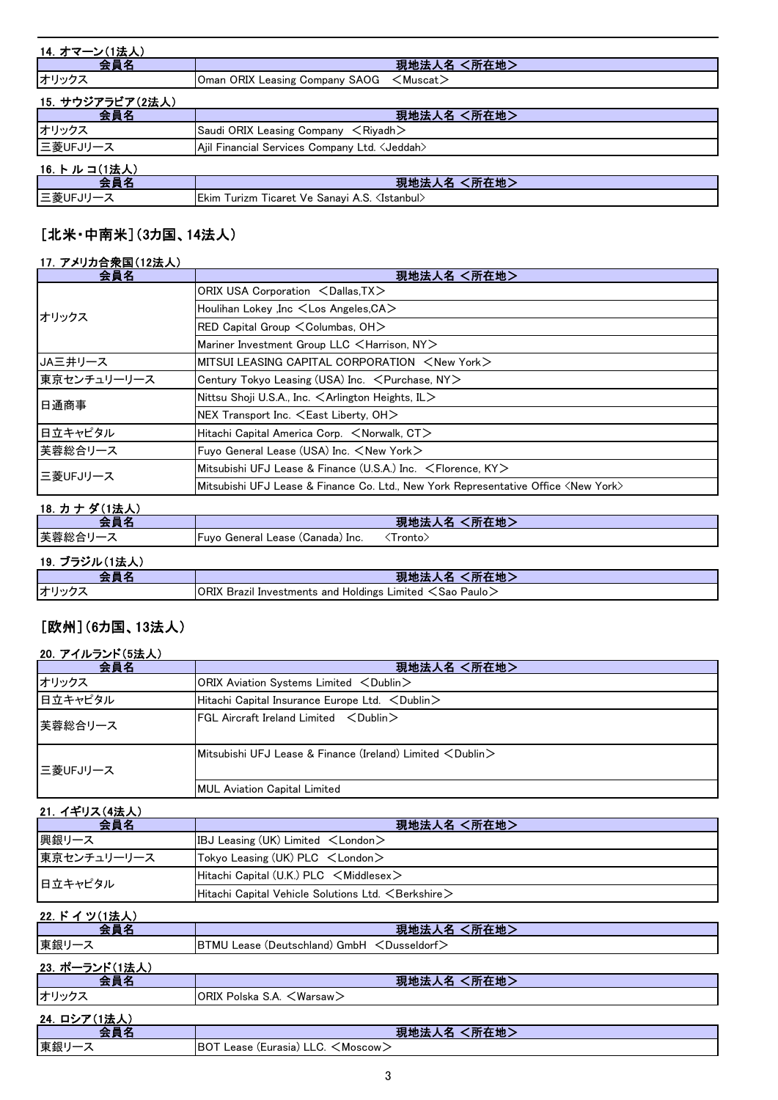| 14. オマーン(1法人)    |                                                          |
|------------------|----------------------------------------------------------|
| 会員名              | 現地法人名 <所在地>                                              |
| オリックス            | Oman ORIX Leasing Company SAOG <muscat></muscat>         |
| 15. サウジアラビア(2法人) |                                                          |
| 会員名              | 現地法人名 <所在地>                                              |
| オリックス            | Saudi ORIX Leasing Company $\leq$ Riyadh $>$             |
| 三菱UFJリース         | Ajil Financial Services Company Ltd. < Jeddah>           |
| 16. トルコ(1法人)     |                                                          |
| 会員名              | 現地法人名 <所在地>                                              |
| 三菱UFJリース         | Ekim Turizm Ticaret Ve Sanayi A.S. <istanbul></istanbul> |

# [北米・中南米](3カ国、14法人)

## 17.アメリカ合衆国(12法人)

| 会員名         | 現地法人名 <所在地>                                                                                 |
|-------------|---------------------------------------------------------------------------------------------|
|             | ORIX USA Corporation <dallas, tx=""></dallas,>                                              |
| オリックス       | Houlihan Lokey , Inc <los angeles,="" ca=""></los>                                          |
|             | RED Capital Group < Columbas, OH>                                                           |
|             | Mariner Investment Group LLC <harrison, ny=""></harrison,>                                  |
| JA三井リース     | MITSUI LEASING CAPITAL CORPORATION <new york=""></new>                                      |
| 東京センチュリーリース | Century Tokyo Leasing (USA) Inc. < Purchase, NY>                                            |
| 日通商事        | Nittsu Shoji U.S.A., Inc. $\leq$ Arlington Heights, IL $>$                                  |
|             | $NEX$ Transport Inc. $\leq$ East Liberty, OH $>$                                            |
| 日立キャピタル     | Hitachi Capital America Corp. <norwalk, ct=""></norwalk,>                                   |
| 芙蓉総合リース     | Fuyo General Lease (USA) Inc. <new york=""></new>                                           |
| 三菱UFJリース    | Mitsubishi UFJ Lease & Finance (U.S.A.) Inc. $\leq$ Florence, KY $>$                        |
|             | Mitsubishi UFJ Lease & Finance Co. Ltd., New York Representative Office <new york=""></new> |

# 18. カナダ(1法人) 2012年 - 2012年 - 2012年 - 2012年 - 2012年 - 2012年 - 2012年 - 2012年 - 2012年 - 2012年 - 2012年 - 2012年 - 20

| 스톱 소                      |                                  | 現地法人名 <所在地> |
|---------------------------|----------------------------------|-------------|
| 芙蓉総合リーン                   | Fuyo General Lease (Canada) Inc. | .Tronto∑    |
| 19. ブラジル(1法人)             |                                  |             |
| $\mathbf{A} = \mathbf{A}$ |                                  |             |

|             | <b>〔所在地〕</b><br>現地法                                                          |
|-------------|------------------------------------------------------------------------------|
| <b>オリック</b> | <code>IORIX</code> Brazil Investments and Holdings Limited $<$ Sao Paulo $>$ |

# [欧州](6カ国、13法人)

## 20.アイルランド(5法人)

| 会員名      | 現地法人名 <所在地>                                                                          |
|----------|--------------------------------------------------------------------------------------|
| オリックス    | ORIX Aviation Systems Limited <dublin></dublin>                                      |
| 日立キャピタル  | $ $ Hitachi Capital Insurance Europe Ltd. $\,<$ Dublin $\,>$                         |
| 芙蓉総合リース  | $\textsf{IFGL}$ Aircraft Ireland Limited $\textsf{CDublin}$                          |
| 三菱UFJリース | <b>I</b> Mitsubishi UFJ Lease & Finance (Ireland) Limited $\langle$ Dublin $\rangle$ |
|          | <b>MUL Aviation Capital Limited</b>                                                  |

## 21.イギリス(4法人)

| 会員名         | 現地法人名 <所在地>                                                    |
|-------------|----------------------------------------------------------------|
| 興銀リース       | IBJ Leasing (UK) Limited $\lt$ London $\gt$                    |
| 東京センチュリーリース | $\vert$ Tokyo Leasing (UK) PLC $\lt$ London $\gt$              |
| 日立キャピタル     | Hitachi Capital (U.K.) PLC $\leq$ Middlesex $\geq$             |
|             | Hitachi Capital Vehicle Solutions Ltd. $\leq$ Berkshire $\geq$ |

| 22. ドイツ(1法人)   |                                             |
|----------------|---------------------------------------------|
| 会員名            | 現地法人名 <所在地>                                 |
| 東銀リース          | BTMU Lease (Deutschland) GmbH < Dusseldorf> |
| 23. ポーランド(1法人) |                                             |
| 会員名            | 現地法人名 <所在地>                                 |
| オリックス          | ORIX Polska S.A. <warsaw></warsaw>          |
| 24. ロシア(1法人)   |                                             |
| 会員名            | 現地法人名 <所在地>                                 |
| 東銀リース          | BOT Lease (Eurasia) LLC. <moscow></moscow>  |